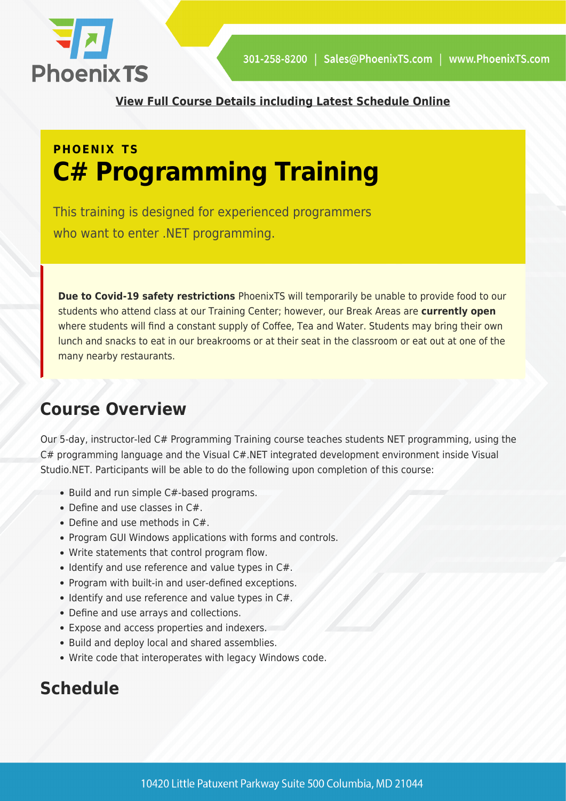

**[View Full Course Details including Latest Schedule Online](https://phoenixts.com/training-courses/c-programming-1/)**

## **PHOENIX TS C# Programming Training**

This training is designed for experienced programmers who want to enter .NET programming.

**Due to Covid-19 safety restrictions** PhoenixTS will temporarily be unable to provide food to our students who attend class at our Training Center; however, our Break Areas are **currently open** where students will find a constant supply of Coffee, Tea and Water. Students may bring their own lunch and snacks to eat in our breakrooms or at their seat in the classroom or eat out at one of the many nearby restaurants.

## **Course Overview**

Our 5-day, instructor-led C# Programming Training course teaches students NET programming, using the C# programming language and the Visual C#.NET integrated development environment inside Visual Studio.NET. Participants will be able to do the following upon completion of this course:

- Build and run simple C#-based programs.
- Define and use classes in C#.
- Define and use methods in C#.
- Program GUI Windows applications with forms and controls.
- Write statements that control program flow.
- $\bullet$  Identify and use reference and value types in C#.
- Program with built-in and user-defined exceptions.
- $\bullet$  Identify and use reference and value types in C#.
- Define and use arrays and collections.
- Expose and access properties and indexers.
- Build and deploy local and shared assemblies.
- Write code that interoperates with legacy Windows code.

## **Schedule**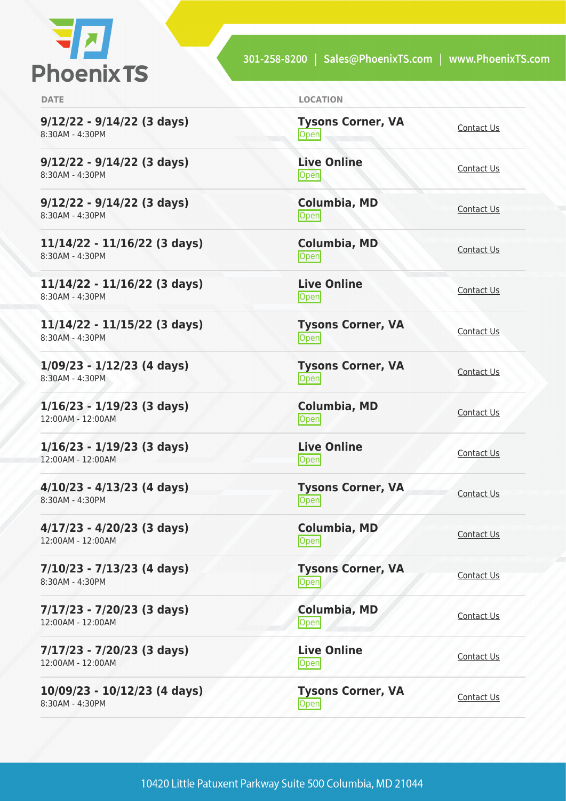

**9/12/22 - 9/14/22 (3 days)** 8:30AM - 4:30PM

**9/12/22 - 9/14/22 (3 days)** 8:30AM - 4:30PM

**9/12/22 - 9/14/22 (3 days)** 8:30AM - 4:30PM

**11/14/22 - 11/16/22 (3 days)** 8:30AM - 4:30PM

**11/14/22 - 11/16/22 (3 days)** 8:30AM - 4:30PM

**11/14/22 - 11/15/22 (3 days)** 8:30AM - 4:30PM

**1/09/23 - 1/12/23 (4 days)** 8:30AM - 4:30PM

**1/16/23 - 1/19/23 (3 days)** 12:00AM - 12:00AM

**1/16/23 - 1/19/23 (3 days)** 12:00AM - 12:00AM

**4/10/23 - 4/13/23 (4 days)** 8:30AM - 4:30PM

**4/17/23 - 4/20/23 (3 days)** 12:00AM - 12:00AM

**7/10/23 - 7/13/23 (4 days)** 8:30AM - 4:30PM

**7/17/23 - 7/20/23 (3 days)** 12:00AM - 12:00AM

**7/17/23 - 7/20/23 (3 days)** 12:00AM - 12:00AM

**10/09/23 - 10/12/23 (4 days)** 8:30AM - 4:30PM

**DATE LOCATION**

**Tysons Corner, VA** <u>Open</u> [Contact Us](https://phoenixts.com/schedule/more-info/?class=25585)

**Live Online** <u>Open</u> [Contact Us](https://phoenixts.com/schedule/more-info/?class=25586)

**Columbia, MD** [Contact Us](https://phoenixts.com/schedule/more-info/?class=25587)<br>Open

**Columbia, MD** [Contact Us](https://phoenixts.com/schedule/more-info/?class=25588)<br>
Open

**Live Online** <u>[Contact Us](https://phoenixts.com/schedule/more-info/?class=25589)</u>

**Tysons Corner, VA** <u>Open</u> [Contact Us](https://phoenixts.com/schedule/more-info/?class=25590)

**Tysons Corner, VA [Contact Us](https://phoenixts.com/schedule/more-info/?class=30648)**<br>
Open

**Columbia, MD [Contact Us](https://phoenixts.com/schedule/more-info/?class=30652)**<br>
Open

**Live Online** <u>Open</u> [Contact Us](https://phoenixts.com/schedule/more-info/?class=30656)

**Tysons Corner, VA Open** [Contact Us](https://phoenixts.com/schedule/more-info/?class=30649)

**Columbia, MD** [Contact Us](https://phoenixts.com/schedule/more-info/?class=30653)<br>Open

**Tysons Corner, VA** Open Corrier, VA [Contact Us](https://phoenixts.com/schedule/more-info/?class=30650)

**Columbia, MD** [Contact Us](https://phoenixts.com/schedule/more-info/?class=30654)<br>
Open Contact Us

**Live Online [Contact Us](https://phoenixts.com/schedule/more-info/?class=30657)** 

**Tysons Corner, VA Open** [Contact Us](https://phoenixts.com/schedule/more-info/?class=30651)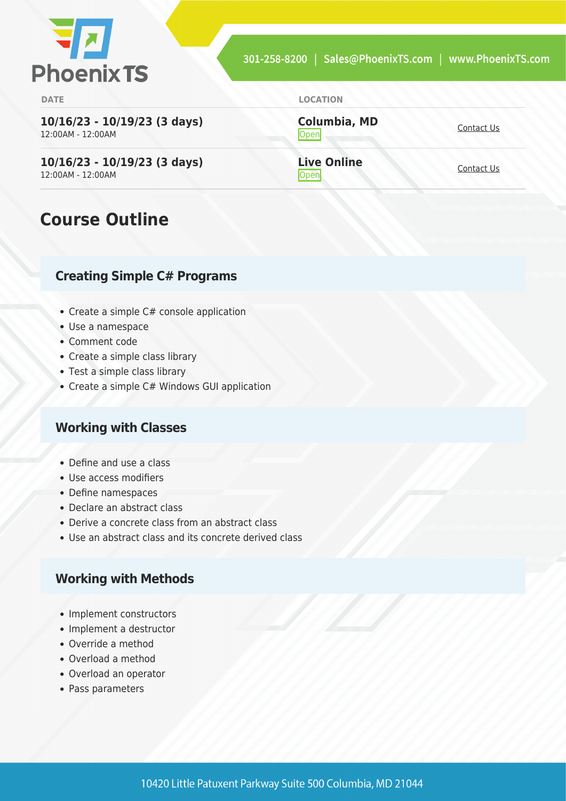

**10/16/23 - 10/19/23 (3 days)** 12:00AM - 12:00AM

**10/16/23 - 10/19/23 (3 days)** 12:00AM - 12:00AM

## **Course Outline**

#### **Creating Simple C# Programs**

- Create a simple C# console application
- Use a namespace
- Comment code
- Create a simple class library
- Test a simple class library
- Create a simple C# Windows GUI application

#### **Working with Classes**

- Define and use a class
- Use access modifiers
- Define namespaces
- Declare an abstract class
- Derive a concrete class from an abstract class
- Use an abstract class and its concrete derived class

#### **Working with Methods**

- Implement constructors
- Implement a destructor
- Override a method
- Overload a method
- Overload an operator
- Pass parameters

**Columbia, MD [Contact Us](https://phoenixts.com/schedule/more-info/?class=30655)**<br> **Open** 

**Live Online** <u>Open</u> [Contact Us](https://phoenixts.com/schedule/more-info/?class=30658)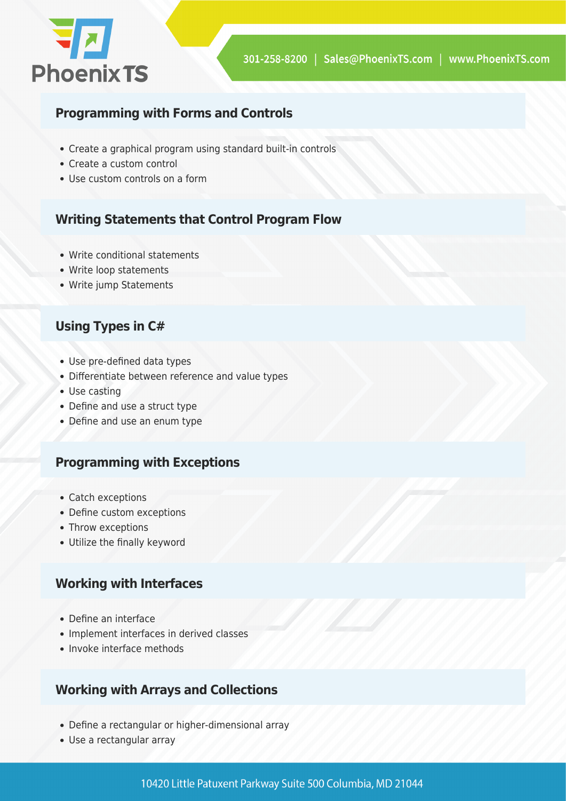

#### **Programming with Forms and Controls**

- Create a graphical program using standard built-in controls
- Create a custom control
- Use custom controls on a form

#### **Writing Statements that Control Program Flow**

- Write conditional statements
- Write loop statements
- Write jump Statements

#### **Using Types in C#**

- Use pre-defined data types
- Differentiate between reference and value types
- Use casting
- Define and use a struct type
- Define and use an enum type

#### **Programming with Exceptions**

- Catch exceptions
- Define custom exceptions
- Throw exceptions
- Utilize the finally keyword

#### **Working with Interfaces**

- Define an interface
- Implement interfaces in derived classes
- Invoke interface methods

#### **Working with Arrays and Collections**

- Define a rectangular or higher-dimensional array
- Use a rectangular array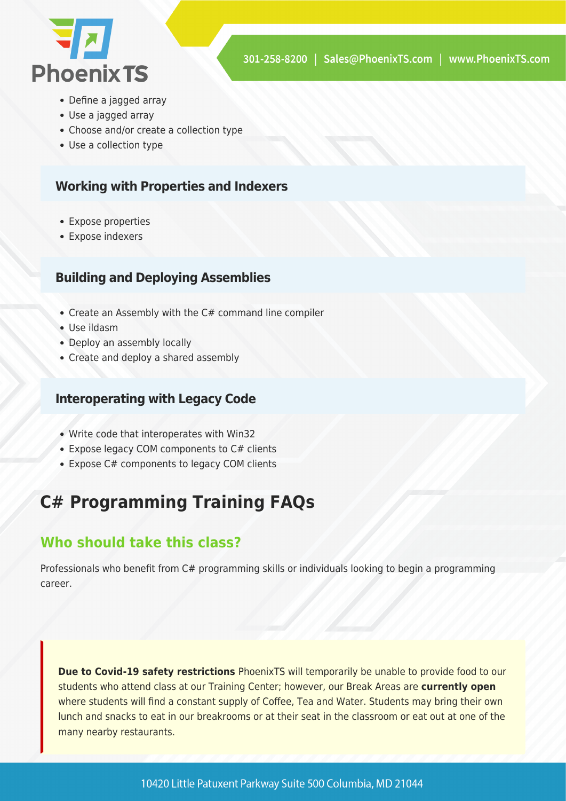

- Define a jagged array
- Use a jagged array
- Choose and/or create a collection type
- Use a collection type

#### **Working with Properties and Indexers**

- Expose properties
- Expose indexers

#### **Building and Deploying Assemblies**

- Create an Assembly with the C# command line compiler
- Use ildasm
- Deploy an assembly locally
- Create and deploy a shared assembly

#### **Interoperating with Legacy Code**

- Write code that interoperates with Win32
- Expose legacy COM components to C# clients
- Expose C# components to legacy COM clients

## **C# Programming Training FAQs**

#### **Who should take this class?**

Professionals who benefit from C# programming skills or individuals looking to begin a programming career.

**Due to Covid-19 safety restrictions** PhoenixTS will temporarily be unable to provide food to our students who attend class at our Training Center; however, our Break Areas are **currently open** where students will find a constant supply of Coffee, Tea and Water. Students may bring their own lunch and snacks to eat in our breakrooms or at their seat in the classroom or eat out at one of the many nearby restaurants.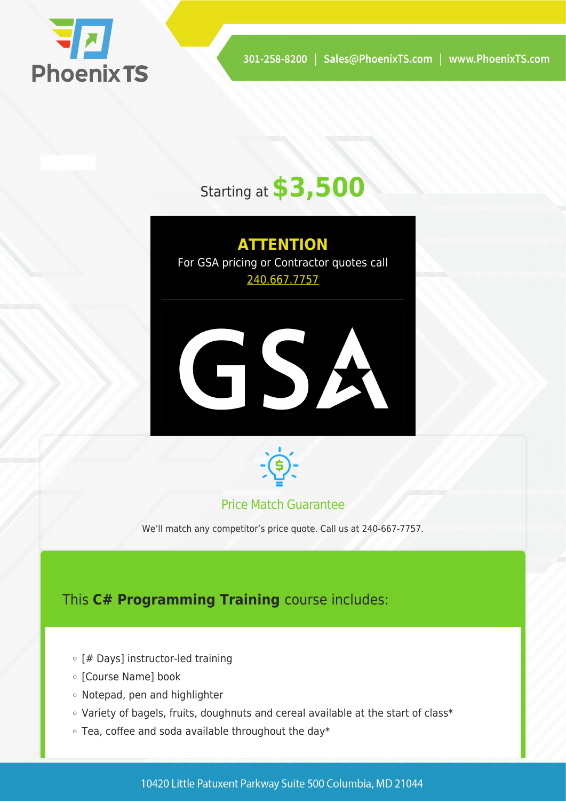

# Starting at **\$3,500**

## **ATTENTION**

For GSA pricing or Contractor quotes call [240.667.7757](#page--1-0)





#### Price Match Guarantee

We'll match any competitor's price quote. Call us at 240-667-7757.

## This **C# Programming Training** course includes:

- o [# Days] instructor-led training
- o [Course Name] book
- Notepad, pen and highlighter
- Variety of bagels, fruits, doughnuts and cereal available at the start of class\*
- $\circ$  Tea, coffee and soda available throughout the day\*

10420 Little Patuxent Parkway Suite 500 Columbia, MD 21044